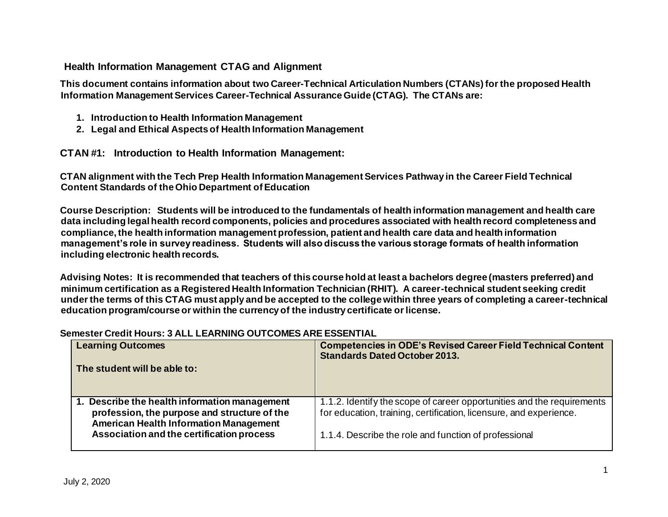# **Health Information Management CTAG and Alignment**

**This document contains information about two Career-Technical Articulation Numbers (CTANs) for the proposed Health Information Management Services Career-Technical Assurance Guide (CTAG). The CTANs are:** 

- **1. Introduction to Health Information Management**
- **2. Legal and Ethical Aspects of Health Information Management**

**CTAN #1: Introduction to Health Information Management:**

**CTAN alignment with the Tech Prep Health Information Management Services Pathway in the Career Field Technical Content Standards of the Ohio Department of Education** 

**Course Description: Students will be introduced to the fundamentals of health information management and health care data including legal health record components, policies and procedures associated with health record completeness and compliance, the health information management profession, patient and health care data and health information management's role in survey readiness. Students will also discuss the various storage formats of health information including electronic health records.** 

**Advising Notes: It is recommended that teachers of this course hold at least a bachelors degree (masters preferred) and minimum certification as a Registered Health Information Technician (RHIT). A career-technical student seeking credit under the terms of this CTAG must apply and be accepted to the college within three years of completing a career-technical education program/course or within the currency of the industry certificate or license.** 

| <b>Learning Outcomes</b>                                                                                                                       | <b>Competencies in ODE's Revised Career Field Technical Content</b><br><b>Standards Dated October 2013.</b>                                  |
|------------------------------------------------------------------------------------------------------------------------------------------------|----------------------------------------------------------------------------------------------------------------------------------------------|
| The student will be able to:                                                                                                                   |                                                                                                                                              |
| 1. Describe the health information management<br>profession, the purpose and structure of the<br><b>American Health Information Management</b> | 1.1.2. Identify the scope of career opportunities and the requirements<br>for education, training, certification, licensure, and experience. |
| Association and the certification process                                                                                                      | 1.1.4. Describe the role and function of professional                                                                                        |

## **Semester Credit Hours: 3 ALL LEARNING OUTCOMES ARE ESSENTIAL**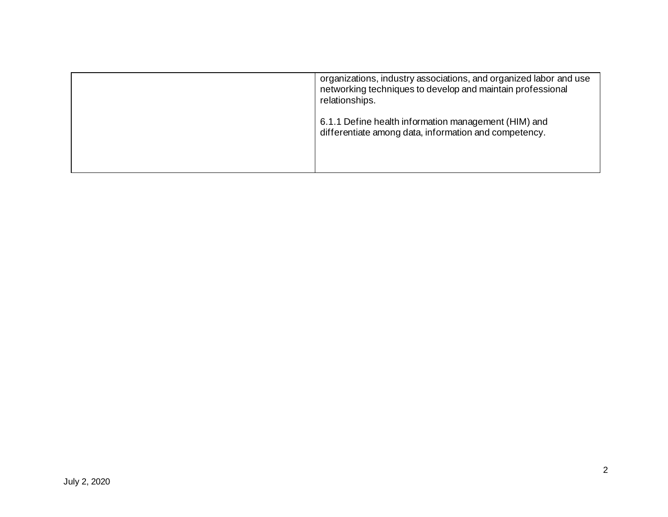| organizations, industry associations, and organized labor and use<br>networking techniques to develop and maintain professional<br>relationships. |
|---------------------------------------------------------------------------------------------------------------------------------------------------|
| 6.1.1 Define health information management (HIM) and<br>differentiate among data, information and competency.                                     |
|                                                                                                                                                   |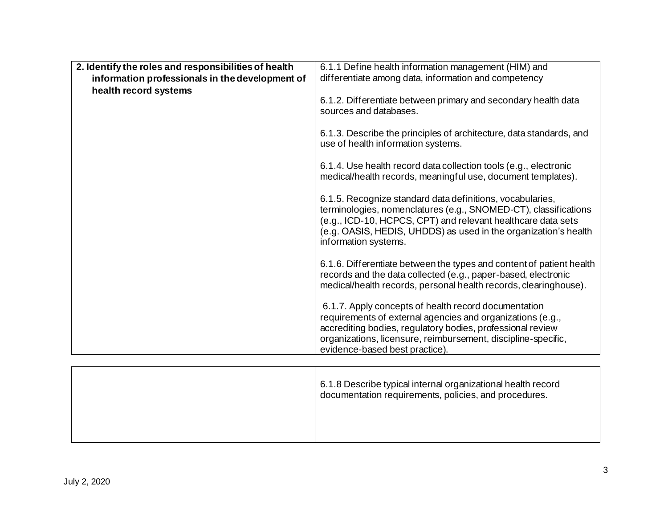| 2. Identify the roles and responsibilities of health<br>information professionals in the development of | 6.1.1 Define health information management (HIM) and<br>differentiate among data, information and competency                                                                                                                                                                            |
|---------------------------------------------------------------------------------------------------------|-----------------------------------------------------------------------------------------------------------------------------------------------------------------------------------------------------------------------------------------------------------------------------------------|
| health record systems                                                                                   | 6.1.2. Differentiate between primary and secondary health data<br>sources and databases.                                                                                                                                                                                                |
|                                                                                                         | 6.1.3. Describe the principles of architecture, data standards, and<br>use of health information systems.                                                                                                                                                                               |
|                                                                                                         | 6.1.4. Use health record data collection tools (e.g., electronic<br>medical/health records, meaningful use, document templates).                                                                                                                                                        |
|                                                                                                         | 6.1.5. Recognize standard data definitions, vocabularies,<br>terminologies, nomenclatures (e.g., SNOMED-CT), classifications<br>(e.g., ICD-10, HCPCS, CPT) and relevant healthcare data sets<br>(e.g. OASIS, HEDIS, UHDDS) as used in the organization's health<br>information systems. |
|                                                                                                         | 6.1.6. Differentiate between the types and content of patient health<br>records and the data collected (e.g., paper-based, electronic<br>medical/health records, personal health records, clearinghouse).                                                                               |
|                                                                                                         | 6.1.7. Apply concepts of health record documentation<br>requirements of external agencies and organizations (e.g.,<br>accrediting bodies, regulatory bodies, professional review<br>organizations, licensure, reimbursement, discipline-specific,<br>evidence-based best practice).     |

| 6.1.8 Describe typical internal organizational health record<br>documentation requirements, policies, and procedures. |
|-----------------------------------------------------------------------------------------------------------------------|
|                                                                                                                       |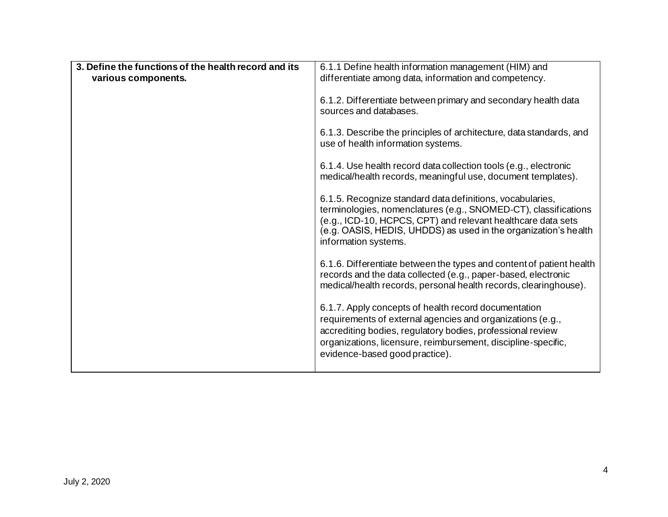| 3. Define the functions of the health record and its |                                                                                                                                                                                                                                                                                         |
|------------------------------------------------------|-----------------------------------------------------------------------------------------------------------------------------------------------------------------------------------------------------------------------------------------------------------------------------------------|
|                                                      | 6.1.1 Define health information management (HIM) and                                                                                                                                                                                                                                    |
| various components.                                  | differentiate among data, information and competency.                                                                                                                                                                                                                                   |
|                                                      |                                                                                                                                                                                                                                                                                         |
|                                                      | 6.1.2. Differentiate between primary and secondary health data<br>sources and databases.                                                                                                                                                                                                |
|                                                      | 6.1.3. Describe the principles of architecture, data standards, and<br>use of health information systems.                                                                                                                                                                               |
|                                                      | 6.1.4. Use health record data collection tools (e.g., electronic<br>medical/health records, meaningful use, document templates).                                                                                                                                                        |
|                                                      | 6.1.5. Recognize standard data definitions, vocabularies,<br>terminologies, nomenclatures (e.g., SNOMED-CT), classifications<br>(e.g., ICD-10, HCPCS, CPT) and relevant healthcare data sets<br>(e.g. OASIS, HEDIS, UHDDS) as used in the organization's health<br>information systems. |
|                                                      | 6.1.6. Differentiate between the types and content of patient health<br>records and the data collected (e.g., paper-based, electronic<br>medical/health records, personal health records, clearinghouse).                                                                               |
|                                                      | 6.1.7. Apply concepts of health record documentation<br>requirements of external agencies and organizations (e.g.,<br>accrediting bodies, regulatory bodies, professional review<br>organizations, licensure, reimbursement, discipline-specific,<br>evidence-based good practice).     |
|                                                      |                                                                                                                                                                                                                                                                                         |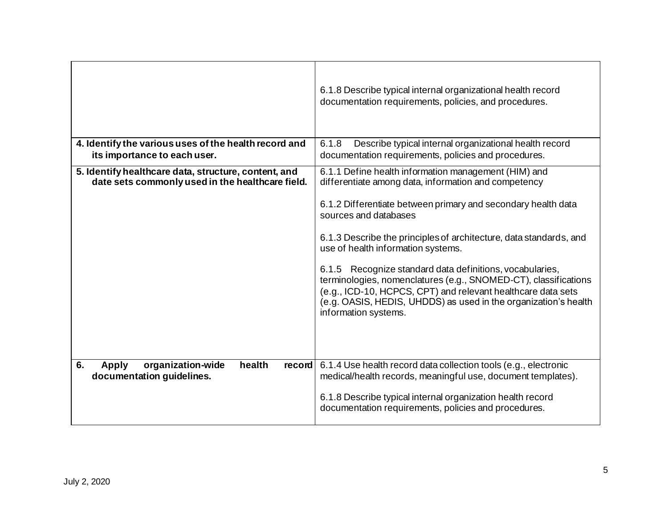|                                                                                                          | 6.1.8 Describe typical internal organizational health record<br>documentation requirements, policies, and procedures.                                                                                                                                                                                                                                                                                                                                                                                                                                                                                        |
|----------------------------------------------------------------------------------------------------------|--------------------------------------------------------------------------------------------------------------------------------------------------------------------------------------------------------------------------------------------------------------------------------------------------------------------------------------------------------------------------------------------------------------------------------------------------------------------------------------------------------------------------------------------------------------------------------------------------------------|
| 4. Identify the various uses of the health record and<br>its importance to each user.                    | 6.1.8<br>Describe typical internal organizational health record<br>documentation requirements, policies and procedures.                                                                                                                                                                                                                                                                                                                                                                                                                                                                                      |
| 5. Identify healthcare data, structure, content, and<br>date sets commonly used in the healthcare field. | 6.1.1 Define health information management (HIM) and<br>differentiate among data, information and competency<br>6.1.2 Differentiate between primary and secondary health data<br>sources and databases<br>6.1.3 Describe the principles of architecture, data standards, and<br>use of health information systems.<br>6.1.5 Recognize standard data definitions, vocabularies,<br>terminologies, nomenclatures (e.g., SNOMED-CT), classifications<br>(e.g., ICD-10, HCPCS, CPT) and relevant healthcare data sets<br>(e.g. OASIS, HEDIS, UHDDS) as used in the organization's health<br>information systems. |
|                                                                                                          |                                                                                                                                                                                                                                                                                                                                                                                                                                                                                                                                                                                                              |
| organization-wide<br>6.<br>health<br><b>Apply</b><br>record<br>documentation guidelines.                 | 6.1.4 Use health record data collection tools (e.g., electronic<br>medical/health records, meaningful use, document templates).<br>6.1.8 Describe typical internal organization health record<br>documentation requirements, policies and procedures.                                                                                                                                                                                                                                                                                                                                                        |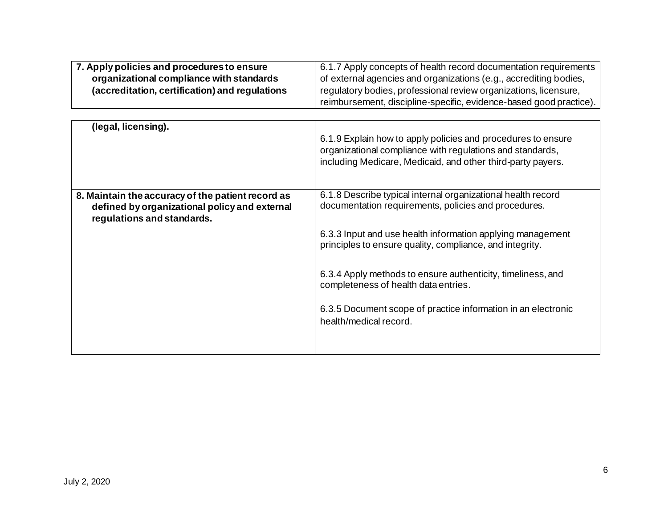| 7. Apply policies and procedures to ensure     | 6.1.7 Apply concepts of health record documentation requirements   |
|------------------------------------------------|--------------------------------------------------------------------|
| organizational compliance with standards       | of external agencies and organizations (e.g., accrediting bodies,  |
| (accreditation, certification) and regulations | regulatory bodies, professional review organizations, licensure,   |
|                                                | reimbursement, discipline-specific, evidence-based good practice). |

| (legal, licensing).                                                                                                              | 6.1.9 Explain how to apply policies and procedures to ensure<br>organizational compliance with regulations and standards,<br>including Medicare, Medicaid, and other third-party payers.                                                                                                                                                                                                                                                         |
|----------------------------------------------------------------------------------------------------------------------------------|--------------------------------------------------------------------------------------------------------------------------------------------------------------------------------------------------------------------------------------------------------------------------------------------------------------------------------------------------------------------------------------------------------------------------------------------------|
| 8. Maintain the accuracy of the patient record as<br>defined by organizational policy and external<br>regulations and standards. | 6.1.8 Describe typical internal organizational health record<br>documentation requirements, policies and procedures.<br>6.3.3 Input and use health information applying management<br>principles to ensure quality, compliance, and integrity.<br>6.3.4 Apply methods to ensure authenticity, timeliness, and<br>completeness of health data entries.<br>6.3.5 Document scope of practice information in an electronic<br>health/medical record. |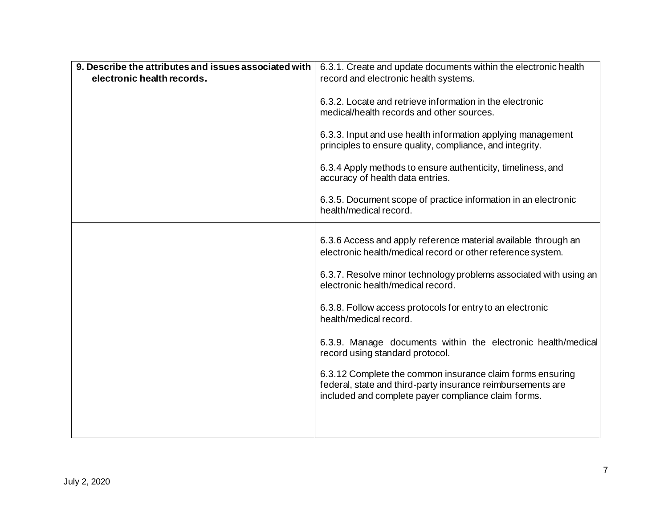| 9. Describe the attributes and issues associated with | 6.3.1. Create and update documents within the electronic health                                                                                                                 |
|-------------------------------------------------------|---------------------------------------------------------------------------------------------------------------------------------------------------------------------------------|
| electronic health records.                            | record and electronic health systems.                                                                                                                                           |
|                                                       | 6.3.2. Locate and retrieve information in the electronic<br>medical/health records and other sources.                                                                           |
|                                                       | 6.3.3. Input and use health information applying management<br>principles to ensure quality, compliance, and integrity.                                                         |
|                                                       | 6.3.4 Apply methods to ensure authenticity, timeliness, and<br>accuracy of health data entries.                                                                                 |
|                                                       | 6.3.5. Document scope of practice information in an electronic<br>health/medical record.                                                                                        |
|                                                       |                                                                                                                                                                                 |
|                                                       | 6.3.6 Access and apply reference material available through an<br>electronic health/medical record or other reference system.                                                   |
|                                                       | 6.3.7. Resolve minor technology problems associated with using an<br>electronic health/medical record.                                                                          |
|                                                       | 6.3.8. Follow access protocols for entry to an electronic<br>health/medical record.                                                                                             |
|                                                       | 6.3.9. Manage documents within the electronic health/medical<br>record using standard protocol.                                                                                 |
|                                                       | 6.3.12 Complete the common insurance claim forms ensuring<br>federal, state and third-party insurance reimbursements are<br>included and complete payer compliance claim forms. |
|                                                       |                                                                                                                                                                                 |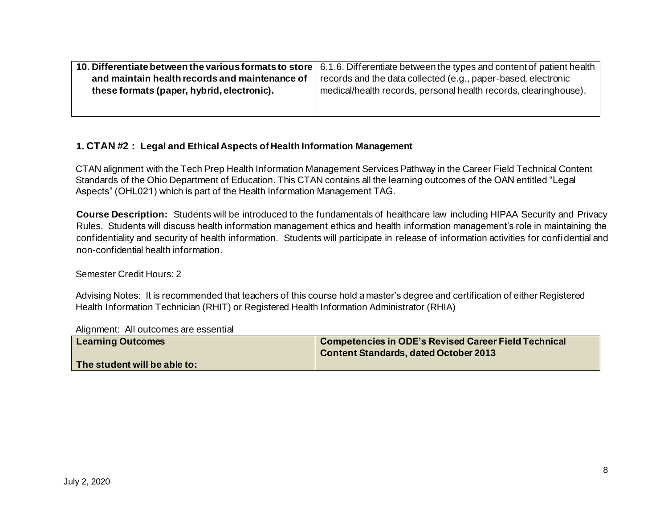|                                                | 10. Differentiate between the various formats to store   6.1.6. Differentiate between the types and content of patient health |
|------------------------------------------------|-------------------------------------------------------------------------------------------------------------------------------|
| and maintain health records and maintenance of | records and the data collected (e.g., paper-based, electronic                                                                 |
| these formats (paper, hybrid, electronic).     | medical/health records, personal health records, clearinghouse).                                                              |
|                                                |                                                                                                                               |
|                                                |                                                                                                                               |

## **1. CTAN #2 : Legal and Ethical Aspects of Health Information Management**

CTAN alignment with the Tech Prep Health Information Management Services Pathway in the Career Field Technical Content Standards of the Ohio Department of Education. This CTAN contains all the learning outcomes of the OAN entitled "Legal Aspects" (OHL021) which is part of the Health Information Management TAG.

**Course Description:** Students will be introduced to the fundamentals of healthcare law including HIPAA Security and Privacy Rules. Students will discuss health information management ethics and health information management's role in maintaining the confidentiality and security of health information. Students will participate in release of information activities for confidential and non-confidential health information.

## Semester Credit Hours: 2

Advising Notes: It is recommended that teachers of this course hold a master's degree and certification of either Registered Health Information Technician (RHIT) or Registered Health Information Administrator (RHIA)

#### Alignment: All outcomes are essential

| <b>Learning Outcomes</b>     | Competencies in ODE's Revised Career Field Technical<br><b>Content Standards, dated October 2013</b> |
|------------------------------|------------------------------------------------------------------------------------------------------|
| The student will be able to: |                                                                                                      |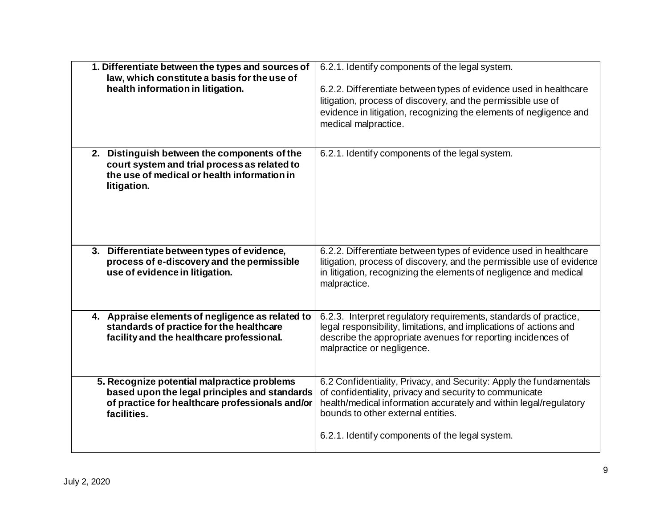| 1. Differentiate between the types and sources of<br>law, which constitute a basis for the use of<br>health information in litigation.                         | 6.2.1. Identify components of the legal system.<br>6.2.2. Differentiate between types of evidence used in healthcare<br>litigation, process of discovery, and the permissible use of<br>evidence in litigation, recognizing the elements of negligence and<br>medical malpractice.          |
|----------------------------------------------------------------------------------------------------------------------------------------------------------------|---------------------------------------------------------------------------------------------------------------------------------------------------------------------------------------------------------------------------------------------------------------------------------------------|
| 2. Distinguish between the components of the<br>court system and trial process as related to<br>the use of medical or health information in<br>litigation.     | 6.2.1. Identify components of the legal system.                                                                                                                                                                                                                                             |
| 3. Differentiate between types of evidence,<br>process of e-discovery and the permissible<br>use of evidence in litigation.                                    | 6.2.2. Differentiate between types of evidence used in healthcare<br>litigation, process of discovery, and the permissible use of evidence<br>in litigation, recognizing the elements of negligence and medical<br>malpractice.                                                             |
| 4. Appraise elements of negligence as related to<br>standards of practice for the healthcare<br>facility and the healthcare professional.                      | 6.2.3. Interpret regulatory requirements, standards of practice,<br>legal responsibility, limitations, and implications of actions and<br>describe the appropriate avenues for reporting incidences of<br>malpractice or negligence.                                                        |
| 5. Recognize potential malpractice problems<br>based upon the legal principles and standards<br>of practice for healthcare professionals and/or<br>facilities. | 6.2 Confidentiality, Privacy, and Security: Apply the fundamentals<br>of confidentiality, privacy and security to communicate<br>health/medical information accurately and within legal/regulatory<br>bounds to other external entities.<br>6.2.1. Identify components of the legal system. |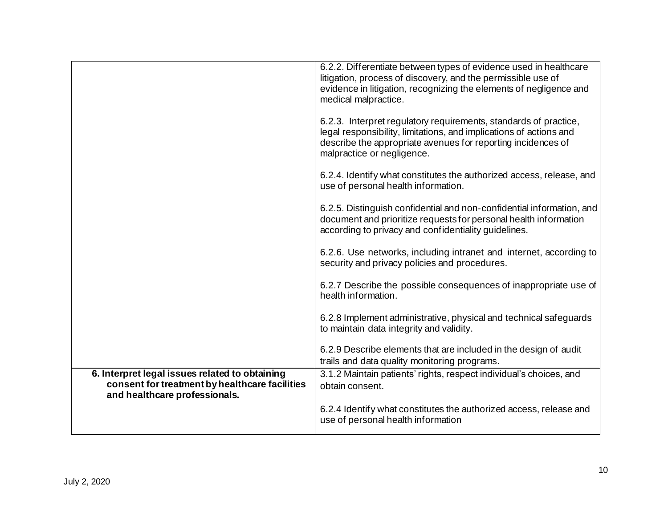|                                                                                                                                   | 6.2.2. Differentiate between types of evidence used in healthcare<br>litigation, process of discovery, and the permissible use of<br>evidence in litigation, recognizing the elements of negligence and<br>medical malpractice.      |
|-----------------------------------------------------------------------------------------------------------------------------------|--------------------------------------------------------------------------------------------------------------------------------------------------------------------------------------------------------------------------------------|
|                                                                                                                                   | 6.2.3. Interpret regulatory requirements, standards of practice,<br>legal responsibility, limitations, and implications of actions and<br>describe the appropriate avenues for reporting incidences of<br>malpractice or negligence. |
|                                                                                                                                   | 6.2.4. Identify what constitutes the authorized access, release, and<br>use of personal health information.                                                                                                                          |
|                                                                                                                                   | 6.2.5. Distinguish confidential and non-confidential information, and<br>document and prioritize requests for personal health information<br>according to privacy and confidentiality guidelines.                                    |
|                                                                                                                                   | 6.2.6. Use networks, including intranet and internet, according to<br>security and privacy policies and procedures.                                                                                                                  |
|                                                                                                                                   | 6.2.7 Describe the possible consequences of inappropriate use of<br>health information.                                                                                                                                              |
|                                                                                                                                   | 6.2.8 Implement administrative, physical and technical safeguards<br>to maintain data integrity and validity.                                                                                                                        |
|                                                                                                                                   | 6.2.9 Describe elements that are included in the design of audit<br>trails and data quality monitoring programs.                                                                                                                     |
| 6. Interpret legal issues related to obtaining<br>consent for treatment by healthcare facilities<br>and healthcare professionals. | 3.1.2 Maintain patients' rights, respect individual's choices, and<br>obtain consent.                                                                                                                                                |
|                                                                                                                                   | 6.2.4 Identify what constitutes the authorized access, release and<br>use of personal health information                                                                                                                             |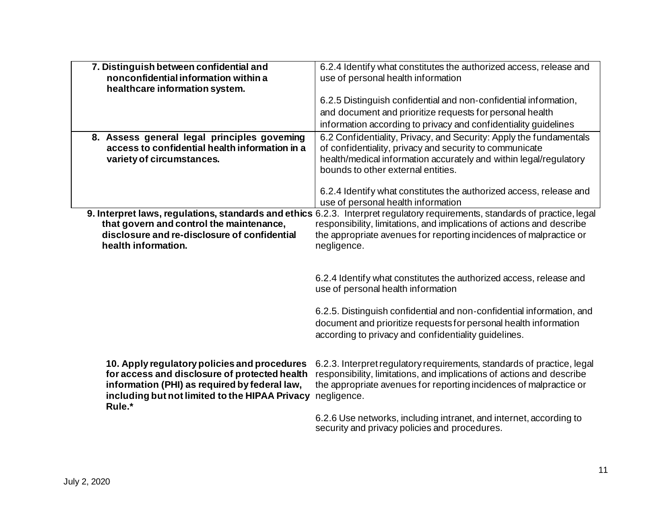| 7. Distinguish between confidential and        | 6.2.4 Identify what constitutes the authorized access, release and                                                          |
|------------------------------------------------|-----------------------------------------------------------------------------------------------------------------------------|
| nonconfidential information within a           | use of personal health information                                                                                          |
| healthcare information system.                 |                                                                                                                             |
|                                                | 6.2.5 Distinguish confidential and non-confidential information,                                                            |
|                                                | and document and prioritize requests for personal health                                                                    |
|                                                | information according to privacy and confidentiality guidelines                                                             |
| 8. Assess general legal principles goveming    | 6.2 Confidentiality, Privacy, and Security: Apply the fundamentals                                                          |
| access to confidential health information in a | of confidentiality, privacy and security to communicate                                                                     |
| variety of circumstances.                      | health/medical information accurately and within legal/regulatory                                                           |
|                                                | bounds to other external entities.                                                                                          |
|                                                |                                                                                                                             |
|                                                | 6.2.4 Identify what constitutes the authorized access, release and                                                          |
|                                                | use of personal health information                                                                                          |
|                                                | 9. Interpret laws, regulations, standards and ethics 6.2.3. Interpret regulatory requirements, standards of practice, legal |
| that govern and control the maintenance,       | responsibility, limitations, and implications of actions and describe                                                       |
| disclosure and re-disclosure of confidential   | the appropriate avenues for reporting incidences of malpractice or                                                          |
| health information.                            | negligence.                                                                                                                 |
|                                                |                                                                                                                             |
|                                                |                                                                                                                             |
|                                                | 6.2.4 Identify what constitutes the authorized access, release and                                                          |
|                                                | use of personal health information                                                                                          |
|                                                |                                                                                                                             |
|                                                | 6.2.5. Distinguish confidential and non-confidential information, and                                                       |
|                                                |                                                                                                                             |
|                                                | document and prioritize requests for personal health information                                                            |
|                                                | according to privacy and confidentiality quidelines.                                                                        |
|                                                |                                                                                                                             |
| 10. Apply regulatory policies and procedures   | 6.2.3. Interpret regulatory requirements, standards of practice, legal                                                      |
| for access and disclosure of protected health  | responsibility, limitations, and implications of actions and describe                                                       |
| information (PHI) as required by federal law,  | the appropriate avenues for reporting incidences of malpractice or                                                          |
| including but not limited to the HIPAA Privacy | negligence.                                                                                                                 |
| Rule.*                                         |                                                                                                                             |
|                                                | 6.2.6 Use networks, including intranet, and internet, according to                                                          |
|                                                | security and privacy policies and procedures.                                                                               |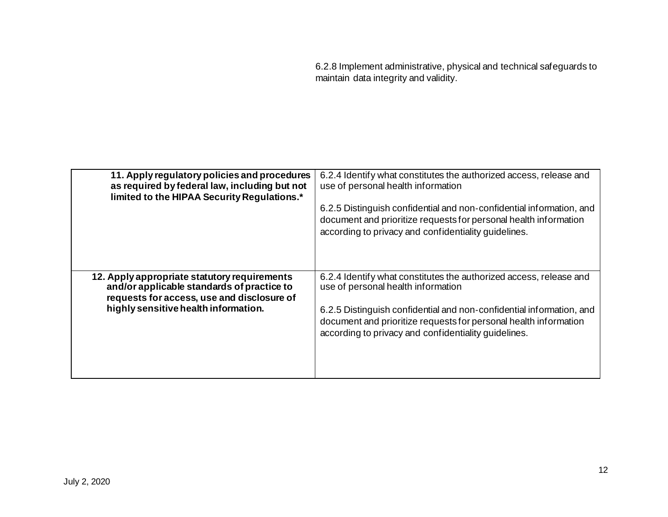6.2.8 Implement administrative, physical and technical safeguards to maintain data integrity and validity.

| 11. Apply regulatory policies and procedures<br>as required by federal law, including but not<br>limited to the HIPAA Security Regulations.*                                     | 6.2.4 Identify what constitutes the authorized access, release and<br>use of personal health information<br>6.2.5 Distinguish confidential and non-confidential information, and<br>document and prioritize requests for personal health information<br>according to privacy and confidentiality guidelines. |
|----------------------------------------------------------------------------------------------------------------------------------------------------------------------------------|--------------------------------------------------------------------------------------------------------------------------------------------------------------------------------------------------------------------------------------------------------------------------------------------------------------|
| 12. Apply appropriate statutory requirements<br>and/or applicable standards of practice to<br>requests for access, use and disclosure of<br>highly sensitive health information. | 6.2.4 Identify what constitutes the authorized access, release and<br>use of personal health information<br>6.2.5 Distinguish confidential and non-confidential information, and<br>document and prioritize requests for personal health information<br>according to privacy and confidentiality guidelines. |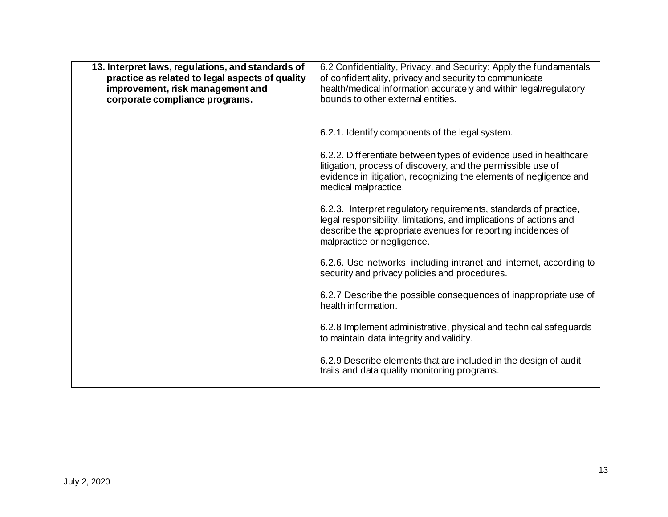| 13. Interpret laws, regulations, and standards of<br>practice as related to legal aspects of quality<br>improvement, risk management and<br>corporate compliance programs. | 6.2 Confidentiality, Privacy, and Security: Apply the fundamentals<br>of confidentiality, privacy and security to communicate<br>health/medical information accurately and within legal/regulatory<br>bounds to other external entities. |
|----------------------------------------------------------------------------------------------------------------------------------------------------------------------------|------------------------------------------------------------------------------------------------------------------------------------------------------------------------------------------------------------------------------------------|
|                                                                                                                                                                            | 6.2.1. Identify components of the legal system.                                                                                                                                                                                          |
|                                                                                                                                                                            | 6.2.2. Differentiate between types of evidence used in healthcare<br>litigation, process of discovery, and the permissible use of<br>evidence in litigation, recognizing the elements of negligence and<br>medical malpractice.          |
|                                                                                                                                                                            | 6.2.3. Interpret regulatory requirements, standards of practice,<br>legal responsibility, limitations, and implications of actions and<br>describe the appropriate avenues for reporting incidences of<br>malpractice or negligence.     |
|                                                                                                                                                                            | 6.2.6. Use networks, including intranet and internet, according to<br>security and privacy policies and procedures.                                                                                                                      |
|                                                                                                                                                                            | 6.2.7 Describe the possible consequences of inappropriate use of<br>health information.                                                                                                                                                  |
|                                                                                                                                                                            | 6.2.8 Implement administrative, physical and technical safeguards<br>to maintain data integrity and validity.                                                                                                                            |
|                                                                                                                                                                            | 6.2.9 Describe elements that are included in the design of audit<br>trails and data quality monitoring programs.                                                                                                                         |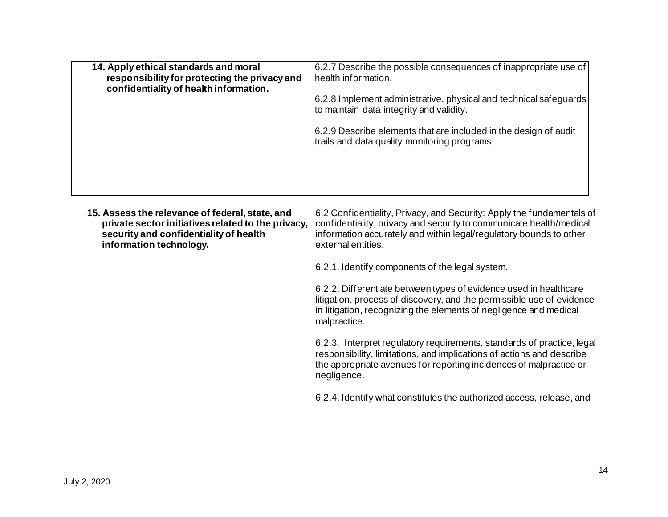| 14. Apply ethical standards and moral<br>responsibility for protecting the privacy and<br>confidentiality of health information. | 6.2.7 Describe the possible consequences of inappropriate use of<br>health information.                         |
|----------------------------------------------------------------------------------------------------------------------------------|-----------------------------------------------------------------------------------------------------------------|
|                                                                                                                                  | 6.2.8 Implement administrative, physical and technical safeguards<br>to maintain data integrity and validity.   |
|                                                                                                                                  | 6.2.9 Describe elements that are included in the design of audit<br>trails and data quality monitoring programs |
|                                                                                                                                  |                                                                                                                 |

**15. Assess the relevance of federal, state, and private sector initiatives related to the privacy, security and confidentiality of health information technology.**  6.2 Confidentiality, Privacy, and Security: Apply the fundamentals of confidentiality, privacy and security to communicate health/medical information accurately and within legal/regulatory bounds to other external entities.

6.2.1. Identify components of the legal system.

6.2.2. Differentiate between types of evidence used in healthcare litigation, process of discovery, and the permissible use of evidence in litigation, recognizing the elements of negligence and medical malpractice.

6.2.3. Interpret regulatory requirements, standards of practice, legal responsibility, limitations, and implications of actions and describe the appropriate avenues for reporting incidences of malpractice or negligence.

6.2.4. Identify what constitutes the authorized access, release, and